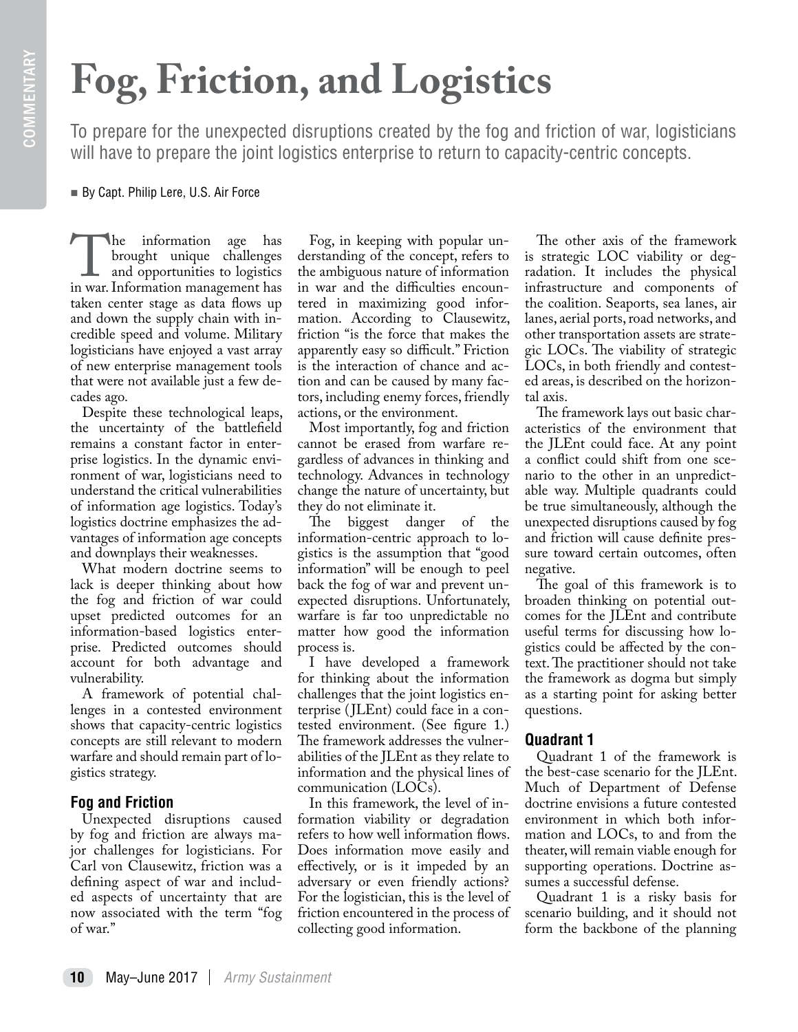# COMMENTARY COMMENTARY

## **Fog, Friction, and Logistics**

To prepare for the unexpected disruptions created by the fog and friction of war, logisticians will have to prepare the joint logistics enterprise to return to capacity-centric concepts.

By Capt. Philip Lere, U.S. Air Force

The information age has<br>
brought unique challenges<br>
and opportunities to logistics<br>
in war. Information management has brought unique challenges and opportunities to logistics taken center stage as data flows up and down the supply chain with incredible speed and volume. Military logisticians have enjoyed a vast array of new enterprise management tools that were not available just a few decades ago.

Despite these technological leaps, the uncertainty of the battlefield remains a constant factor in enterprise logistics. In the dynamic environment of war, logisticians need to understand the critical vulnerabilities of information age logistics. Today's logistics doctrine emphasizes the advantages of information age concepts and downplays their weaknesses.

What modern doctrine seems to lack is deeper thinking about how the fog and friction of war could upset predicted outcomes for an information-based logistics enterprise. Predicted outcomes should account for both advantage and vulnerability.

A framework of potential challenges in a contested environment shows that capacity-centric logistics concepts are still relevant to modern warfare and should remain part of logistics strategy.

## **Fog and Friction**

Unexpected disruptions caused by fog and friction are always major challenges for logisticians. For Carl von Clausewitz, friction was a defining aspect of war and included aspects of uncertainty that are now associated with the term "fog of war."

Fog, in keeping with popular understanding of the concept, refers to the ambiguous nature of information in war and the difficulties encountered in maximizing good information. According to Clausewitz, friction "is the force that makes the apparently easy so difficult." Friction is the interaction of chance and action and can be caused by many factors, including enemy forces, friendly actions, or the environment.

Most importantly, fog and friction cannot be erased from warfare regardless of advances in thinking and technology. Advances in technology change the nature of uncertainty, but

they do not eliminate it.<br>The biggest dange biggest danger of the information-centric approach to logistics is the assumption that "good information" will be enough to peel back the fog of war and prevent unexpected disruptions. Unfortunately, warfare is far too unpredictable no matter how good the information process is.

I have developed a framework for thinking about the information challenges that the joint logistics enterprise ( JLEnt) could face in a contested environment. (See figure 1.) The framework addresses the vulnerabilities of the JLEnt as they relate to information and the physical lines of communication (LOCs).

In this framework, the level of information viability or degradation refers to how well information flows. Does information move easily and effectively, or is it impeded by an adversary or even friendly actions? For the logistician, this is the level of friction encountered in the process of collecting good information.

The other axis of the framework is strategic LOC viability or degradation. It includes the physical infrastructure and components of the coalition. Seaports, sea lanes, air lanes, aerial ports, road networks, and other transportation assets are strategic LOCs. The viability of strategic LOCs, in both friendly and contested areas, is described on the horizontal axis.

The framework lays out basic characteristics of the environment that the JLEnt could face. At any point a conflict could shift from one scenario to the other in an unpredictable way. Multiple quadrants could be true simultaneously, although the unexpected disruptions caused by fog and friction will cause definite pressure toward certain outcomes, often negative.

The goal of this framework is to broaden thinking on potential outcomes for the JLEnt and contribute useful terms for discussing how logistics could be affected by the context. The practitioner should not take the framework as dogma but simply as a starting point for asking better questions.

## **Quadrant 1**

Quadrant 1 of the framework is the best-case scenario for the JLEnt. Much of Department of Defense doctrine envisions a future contested environment in which both information and LOCs, to and from the theater, will remain viable enough for supporting operations. Doctrine assumes a successful defense.

Quadrant 1 is a risky basis for scenario building, and it should not form the backbone of the planning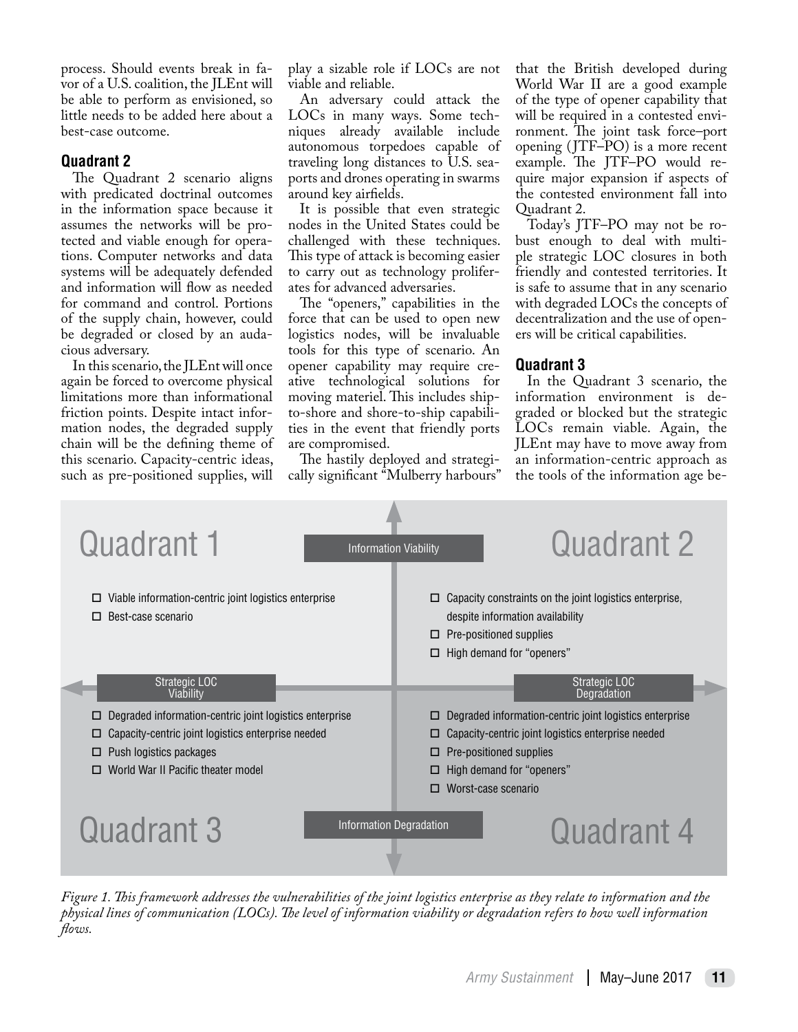process. Should events break in favor of a U.S. coalition, the JLEnt will be able to perform as envisioned, so little needs to be added here about a best-case outcome.

### **Quadrant 2**

The Quadrant 2 scenario aligns with predicated doctrinal outcomes in the information space because it assumes the networks will be protected and viable enough for operations. Computer networks and data systems will be adequately defended and information will flow as needed for command and control. Portions of the supply chain, however, could be degraded or closed by an audacious adversary.

In this scenario, the JLEnt will once again be forced to overcome physical limitations more than informational friction points. Despite intact information nodes, the degraded supply chain will be the defining theme of this scenario. Capacity-centric ideas, such as pre-positioned supplies, will

play a sizable role if LOCs are not viable and reliable.

An adversary could attack the LOCs in many ways. Some techniques already available include autonomous torpedoes capable of traveling long distances to U.S. seaports and drones operating in swarms around key airfields.

It is possible that even strategic nodes in the United States could be challenged with these techniques. This type of attack is becoming easier to carry out as technology proliferates for advanced adversaries.

The "openers," capabilities in the force that can be used to open new logistics nodes, will be invaluable tools for this type of scenario. An opener capability may require creative technological solutions for moving materiel. This includes shipto-shore and shore-to-ship capabilities in the event that friendly ports are compromised.

The hastily deployed and strategically significant "Mulberry harbours" that the British developed during World War II are a good example of the type of opener capability that will be required in a contested environment. The joint task force–port opening ( JTF–PO) is a more recent example. The JTF–PO would require major expansion if aspects of the contested environment fall into Quadrant 2.

Today's JTF–PO may not be robust enough to deal with multiple strategic LOC closures in both friendly and contested territories. It is safe to assume that in any scenario with degraded LOCs the concepts of decentralization and the use of openers will be critical capabilities.

#### **Quadrant 3**

In the Quadrant 3 scenario, the information environment is degraded or blocked but the strategic LOCs remain viable. Again, the JLEnt may have to move away from an information-centric approach as the tools of the information age be-



*Figure 1. This framework addresses the vulnerabilities of the joint logistics enterprise as they relate to information and the physical lines of communication (LOCs). The level of information viability or degradation refers to how well information flows.*